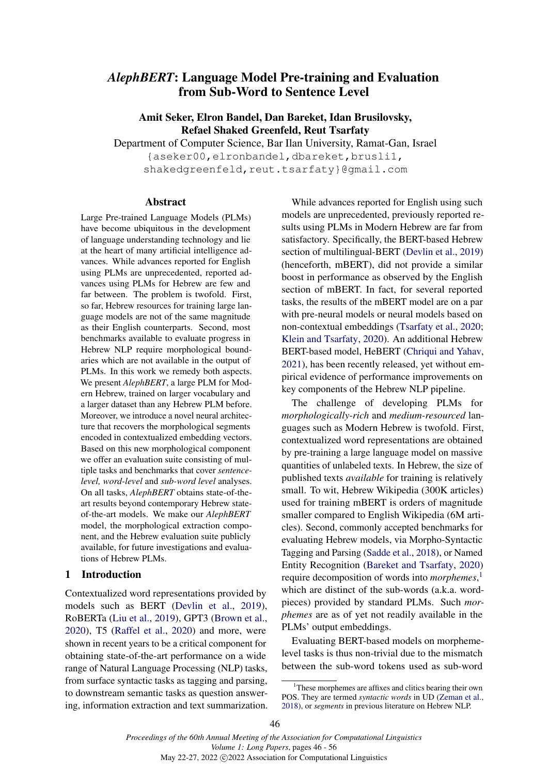# *AlephBERT*: Language Model Pre-training and Evaluation from Sub-Word to Sentence Level

Amit Seker, Elron Bandel, Dan Bareket, Idan Brusilovsky, Refael Shaked Greenfeld, Reut Tsarfaty

Department of Computer Science, Bar Ilan University, Ramat-Gan, Israel {aseker00,elronbandel,dbareket,brusli1, shakedgreenfeld, reut.tsarfaty}@gmail.com

#### Abstract

Large Pre-trained Language Models (PLMs) have become ubiquitous in the development of language understanding technology and lie at the heart of many artificial intelligence advances. While advances reported for English using PLMs are unprecedented, reported advances using PLMs for Hebrew are few and far between. The problem is twofold. First, so far, Hebrew resources for training large language models are not of the same magnitude as their English counterparts. Second, most benchmarks available to evaluate progress in Hebrew NLP require morphological boundaries which are not available in the output of PLMs. In this work we remedy both aspects. We present *AlephBERT*, a large PLM for Modern Hebrew, trained on larger vocabulary and a larger dataset than any Hebrew PLM before. Moreover, we introduce a novel neural architecture that recovers the morphological segments encoded in contextualized embedding vectors. Based on this new morphological component we offer an evaluation suite consisting of multiple tasks and benchmarks that cover *sentencelevel, word-level* and *sub-word level* analyses. On all tasks, *AlephBERT* obtains state-of-theart results beyond contemporary Hebrew stateof-the-art models. We make our *AlephBERT* model, the morphological extraction component, and the Hebrew evaluation suite publicly available, for future investigations and evaluations of Hebrew PLMs.

## 1 Introduction

Contextualized word representations provided by models such as BERT [\(Devlin et al.,](#page-9-0) [2019\)](#page-9-0), RoBERTa [\(Liu et al.,](#page-9-1) [2019\)](#page-9-1), GPT3 [\(Brown et al.,](#page-9-2) [2020\)](#page-9-2), T5 [\(Raffel et al.,](#page-9-3) [2020\)](#page-9-3) and more, were shown in recent years to be a critical component for obtaining state-of-the-art performance on a wide range of Natural Language Processing (NLP) tasks, from surface syntactic tasks as tagging and parsing, to downstream semantic tasks as question answering, information extraction and text summarization.

While advances reported for English using such models are unprecedented, previously reported results using PLMs in Modern Hebrew are far from satisfactory. Specifically, the BERT-based Hebrew section of multilingual-BERT [\(Devlin et al.,](#page-9-0) [2019\)](#page-9-0) (henceforth, mBERT), did not provide a similar boost in performance as observed by the English section of mBERT. In fact, for several reported tasks, the results of the mBERT model are on a par with pre-neural models or neural models based on non-contextual embeddings [\(Tsarfaty et al.,](#page-10-0) [2020;](#page-10-0) [Klein and Tsarfaty,](#page-9-4) [2020\)](#page-9-4). An additional Hebrew BERT-based model, HeBERT [\(Chriqui and Yahav,](#page-9-5) [2021\)](#page-9-5), has been recently released, yet without empirical evidence of performance improvements on key components of the Hebrew NLP pipeline.

The challenge of developing PLMs for *morphologically-rich* and *medium-resourced* languages such as Modern Hebrew is twofold. First, contextualized word representations are obtained by pre-training a large language model on massive quantities of unlabeled texts. In Hebrew, the size of published texts *available* for training is relatively small. To wit, Hebrew Wikipedia (300K articles) used for training mBERT is orders of magnitude smaller compared to English Wikipedia (6M articles). Second, commonly accepted benchmarks for evaluating Hebrew models, via Morpho-Syntactic Tagging and Parsing [\(Sadde et al.,](#page-10-1) [2018\)](#page-10-1), or Named Entity Recognition [\(Bareket and Tsarfaty,](#page-9-6) [2020\)](#page-9-6) require decomposition of words into *morphemes*, [1](#page-0-0) which are distinct of the sub-words (a.k.a. wordpieces) provided by standard PLMs. Such *morphemes* are as of yet not readily available in the PLMs' output embeddings.

Evaluating BERT-based models on morphemelevel tasks is thus non-trivial due to the mismatch between the sub-word tokens used as sub-word

<span id="page-0-0"></span><sup>&</sup>lt;sup>1</sup>These morphemes are affixes and clitics bearing their own POS. They are termed *syntactic words* in UD [\(Zeman et al.,](#page-10-2) [2018\)](#page-10-2), or *segments* in previous literature on Hebrew NLP.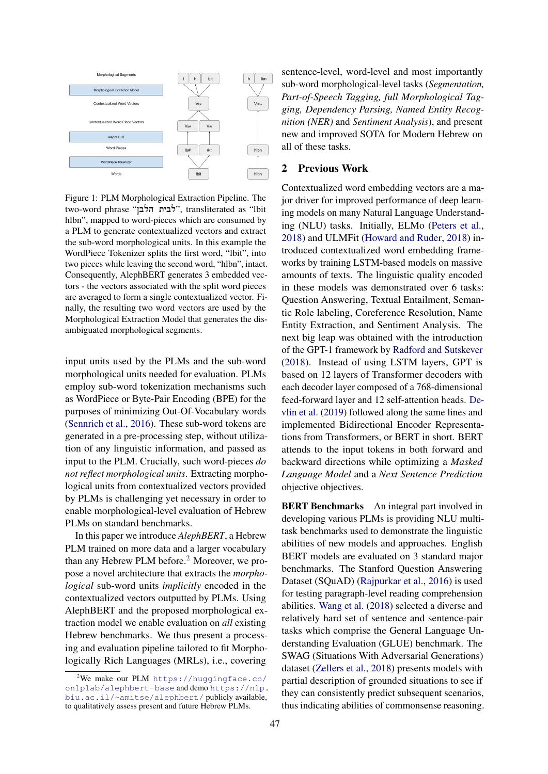<span id="page-1-1"></span>

Figure 1: PLM Morphological Extraction Pipeline. The two-word phrase "לבית הלבן", transliterated as "lbit hlbn", mapped to word-pieces which are consumed by a PLM to generate contextualized vectors and extract the sub-word morphological units. In this example the WordPiece Tokenizer splits the first word, "lbit", into two pieces while leaving the second word, "hlbn", intact. Consequently, AlephBERT generates 3 embedded vectors - the vectors associated with the split word pieces are averaged to form a single contextualized vector. Finally, the resulting two word vectors are used by the Morphological Extraction Model that generates the disambiguated morphological segments.

input units used by the PLMs and the sub-word morphological units needed for evaluation. PLMs employ sub-word tokenization mechanisms such as WordPiece or Byte-Pair Encoding (BPE) for the purposes of minimizing Out-Of-Vocabulary words [\(Sennrich et al.,](#page-10-3) [2016\)](#page-10-3). These sub-word tokens are generated in a pre-processing step, without utilization of any linguistic information, and passed as input to the PLM. Crucially, such word-pieces *do not reflect morphological units*. Extracting morphological units from contextualized vectors provided by PLMs is challenging yet necessary in order to enable morphological-level evaluation of Hebrew PLMs on standard benchmarks.

In this paper we introduce *AlephBERT*, a Hebrew PLM trained on more data and a larger vocabulary than any Hebrew PLM before.<sup>[2](#page-1-0)</sup> Moreover, we propose a novel architecture that extracts the *morphological* sub-word units *implicitly* encoded in the contextualized vectors outputted by PLMs. Using AlephBERT and the proposed morphological extraction model we enable evaluation on *all* existing Hebrew benchmarks. We thus present a processing and evaluation pipeline tailored to fit Morphologically Rich Languages (MRLs), i.e., covering

sentence-level, word-level and most importantly sub-word morphological-level tasks (*Segmentation, Part-of-Speech Tagging, full Morphological Tagging, Dependency Parsing, Named Entity Recognition (NER)* and *Sentiment Analysis*), and present new and improved SOTA for Modern Hebrew on all of these tasks.

# 2 Previous Work

Contextualized word embedding vectors are a major driver for improved performance of deep learning models on many Natural Language Understanding (NLU) tasks. Initially, ELMo [\(Peters et al.,](#page-9-7) [2018\)](#page-9-7) and ULMFit [\(Howard and Ruder,](#page-9-8) [2018\)](#page-9-8) introduced contextualized word embedding frameworks by training LSTM-based models on massive amounts of texts. The linguistic quality encoded in these models was demonstrated over 6 tasks: Question Answering, Textual Entailment, Semantic Role labeling, Coreference Resolution, Name Entity Extraction, and Sentiment Analysis. The next big leap was obtained with the introduction of the GPT-1 framework by [Radford and Sutskever](#page-9-9) [\(2018\)](#page-9-9). Instead of using LSTM layers, GPT is based on 12 layers of Transformer decoders with each decoder layer composed of a 768-dimensional feed-forward layer and 12 self-attention heads. [De](#page-9-0)[vlin et al.](#page-9-0) [\(2019\)](#page-9-0) followed along the same lines and implemented Bidirectional Encoder Representations from Transformers, or BERT in short. BERT attends to the input tokens in both forward and backward directions while optimizing a *Masked Language Model* and a *Next Sentence Prediction* objective objectives.

BERT Benchmarks An integral part involved in developing various PLMs is providing NLU multitask benchmarks used to demonstrate the linguistic abilities of new models and approaches. English BERT models are evaluated on 3 standard major benchmarks. The Stanford Question Answering Dataset (SQuAD) [\(Rajpurkar et al.,](#page-10-4) [2016\)](#page-10-4) is used for testing paragraph-level reading comprehension abilities. [Wang et al.](#page-10-5) [\(2018\)](#page-10-5) selected a diverse and relatively hard set of sentence and sentence-pair tasks which comprise the General Language Understanding Evaluation (GLUE) benchmark. The SWAG (Situations With Adversarial Generations) dataset [\(Zellers et al.,](#page-10-6) [2018\)](#page-10-6) presents models with partial description of grounded situations to see if they can consistently predict subsequent scenarios, thus indicating abilities of commonsense reasoning.

<span id="page-1-0"></span> $2$ We make our PLM [https://huggingface.co/](https://huggingface.co/onlplab/alephbert-base) [onlplab/alephbert-base](https://huggingface.co/onlplab/alephbert-base) and demo [https://nlp.](https://nlp.biu.ac.il/~amitse/alephbert/) [biu.ac.il/~amitse/alephbert/](https://nlp.biu.ac.il/~amitse/alephbert/) publicly available, to qualitatively assess present and future Hebrew PLMs.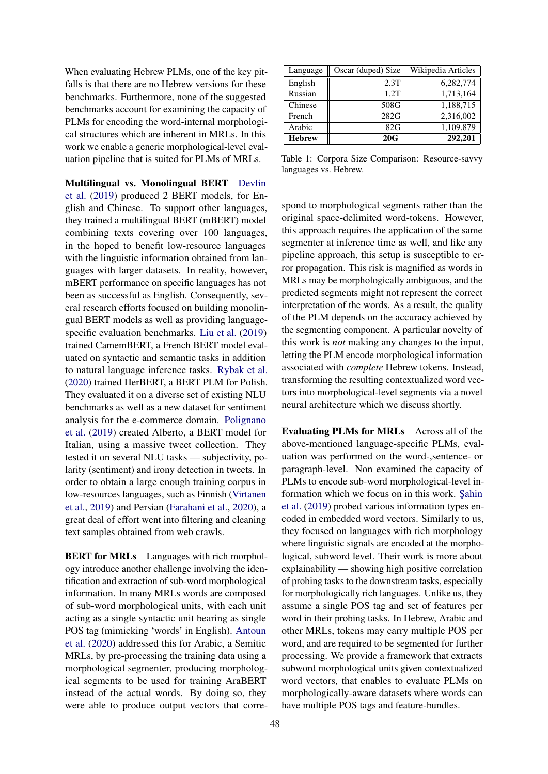When evaluating Hebrew PLMs, one of the key pitfalls is that there are no Hebrew versions for these benchmarks. Furthermore, none of the suggested benchmarks account for examining the capacity of PLMs for encoding the word-internal morphological structures which are inherent in MRLs. In this work we enable a generic morphological-level evaluation pipeline that is suited for PLMs of MRLs.

Multilingual vs. Monolingual BERT [Devlin](#page-9-0) [et al.](#page-9-0) [\(2019\)](#page-9-0) produced 2 BERT models, for English and Chinese. To support other languages, they trained a multilingual BERT (mBERT) model combining texts covering over 100 languages, in the hoped to benefit low-resource languages with the linguistic information obtained from languages with larger datasets. In reality, however, mBERT performance on specific languages has not been as successful as English. Consequently, several research efforts focused on building monolingual BERT models as well as providing languagespecific evaluation benchmarks. [Liu et al.](#page-9-1) [\(2019\)](#page-9-1) trained CamemBERT, a French BERT model evaluated on syntactic and semantic tasks in addition to natural language inference tasks. [Rybak et al.](#page-10-7) [\(2020\)](#page-10-7) trained HerBERT, a BERT PLM for Polish. They evaluated it on a diverse set of existing NLU benchmarks as well as a new dataset for sentiment analysis for the e-commerce domain. [Polignano](#page-9-10) [et al.](#page-9-10) [\(2019\)](#page-9-10) created Alberto, a BERT model for Italian, using a massive tweet collection. They tested it on several NLU tasks — subjectivity, polarity (sentiment) and irony detection in tweets. In order to obtain a large enough training corpus in low-resources languages, such as Finnish [\(Virtanen](#page-10-8) [et al.,](#page-10-8) [2019\)](#page-10-8) and Persian [\(Farahani et al.,](#page-9-11) [2020\)](#page-9-11), a great deal of effort went into filtering and cleaning text samples obtained from web crawls.

**BERT for MRLs** Languages with rich morphology introduce another challenge involving the identification and extraction of sub-word morphological information. In many MRLs words are composed of sub-word morphological units, with each unit acting as a single syntactic unit bearing as single POS tag (mimicking 'words' in English). [Antoun](#page-9-12) [et al.](#page-9-12) [\(2020\)](#page-9-12) addressed this for Arabic, a Semitic MRLs, by pre-processing the training data using a morphological segmenter, producing morphological segments to be used for training AraBERT instead of the actual words. By doing so, they were able to produce output vectors that corre-

<span id="page-2-0"></span>

| Language      | Oscar (duped) Size | Wikipedia Articles |
|---------------|--------------------|--------------------|
| English       | 2.3T               | 6,282,774          |
| Russian       | 1.2T               | 1,713,164          |
| Chinese       | 508G               | 1,188,715          |
| French        | 282G               | 2,316,002          |
| Arabic        | 82G                | 1,109,879          |
| <b>Hebrew</b> | 20G                | 292,201            |

Table 1: Corpora Size Comparison: Resource-savvy languages vs. Hebrew.

spond to morphological segments rather than the original space-delimited word-tokens. However, this approach requires the application of the same segmenter at inference time as well, and like any pipeline approach, this setup is susceptible to error propagation. This risk is magnified as words in MRLs may be morphologically ambiguous, and the predicted segments might not represent the correct interpretation of the words. As a result, the quality of the PLM depends on the accuracy achieved by the segmenting component. A particular novelty of this work is *not* making any changes to the input, letting the PLM encode morphological information associated with *complete* Hebrew tokens. Instead, transforming the resulting contextualized word vectors into morphological-level segments via a novel neural architecture which we discuss shortly.

Evaluating PLMs for MRLs Across all of the above-mentioned language-specific PLMs, evaluation was performed on the word-,sentence- or paragraph-level. Non examined the capacity of PLMs to encode sub-word morphological-level information which we focus on in this work. Sahin [et al.](#page-10-9) [\(2019\)](#page-10-9) probed various information types encoded in embedded word vectors. Similarly to us, they focused on languages with rich morphology where linguistic signals are encoded at the morphological, subword level. Their work is more about explainability — showing high positive correlation of probing tasks to the downstream tasks, especially for morphologically rich languages. Unlike us, they assume a single POS tag and set of features per word in their probing tasks. In Hebrew, Arabic and other MRLs, tokens may carry multiple POS per word, and are required to be segmented for further processing. We provide a framework that extracts subword morphological units given contextualized word vectors, that enables to evaluate PLMs on morphologically-aware datasets where words can have multiple POS tags and feature-bundles.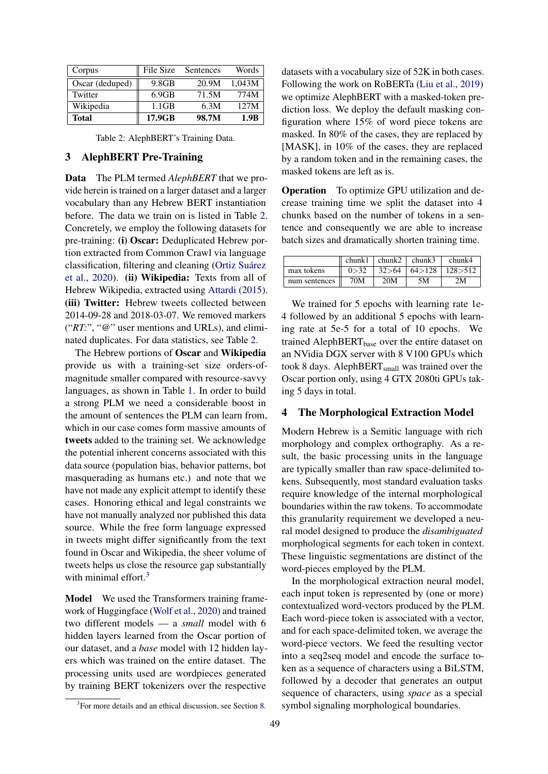<span id="page-3-0"></span>

| Corpus          | File Size | Sentences | Words            |
|-----------------|-----------|-----------|------------------|
| Oscar (deduped) | 9.8GB     | 20.9M     | 1.043M           |
| Twitter         | 6.9GB     | 71.5M     | 774M             |
| Wikipedia       | 1.1GB     | 6.3M      | 12.7M            |
| <b>Total</b>    | 17.9GB    | 98.7M     | 1.9 <sub>R</sub> |

Table 2: AlephBERT's Training Data.

# 3 AlephBERT Pre-Training

Data The PLM termed *AlephBERT* that we provide herein is trained on a larger dataset and a larger vocabulary than any Hebrew BERT instantiation before. The data we train on is listed in Table [2.](#page-3-0) Concretely, we employ the following datasets for pre-training: (i) Oscar: Deduplicated Hebrew portion extracted from Common Crawl via language classification, filtering and cleaning [\(Ortiz Suárez](#page-9-13) [et al.,](#page-9-13) [2020\)](#page-9-13). (ii) Wikipedia: Texts from all of Hebrew Wikipedia, extracted using [Attardi](#page-9-14) [\(2015\)](#page-9-14). (iii) Twitter: Hebrew tweets collected between 2014-09-28 and 2018-03-07. We removed markers ("*RT:*", "*@*" user mentions and URLs), and eliminated duplicates. For data statistics, see Table [2.](#page-3-0)

The Hebrew portions of Oscar and Wikipedia provide us with a training-set size orders-ofmagnitude smaller compared with resource-savvy languages, as shown in Table [1.](#page-2-0) In order to build a strong PLM we need a considerable boost in the amount of sentences the PLM can learn from, which in our case comes form massive amounts of tweets added to the training set. We acknowledge the potential inherent concerns associated with this data source (population bias, behavior patterns, bot masquerading as humans etc.) and note that we have not made any explicit attempt to identify these cases. Honoring ethical and legal constraints we have not manually analyzed nor published this data source. While the free form language expressed in tweets might differ significantly from the text found in Oscar and Wikipedia, the sheer volume of tweets helps us close the resource gap substantially with minimal effort. $3$ 

Model We used the Transformers training framework of Huggingface [\(Wolf et al.,](#page-10-10) [2020\)](#page-10-10) and trained two different models — a *small* model with 6 hidden layers learned from the Oscar portion of our dataset, and a *base* model with 12 hidden layers which was trained on the entire dataset. The processing units used are wordpieces generated by training BERT tokenizers over the respective

<span id="page-3-1"></span><sup>3</sup>For more details and an ethical discussion, see Section [8.](#page-8-0)

datasets with a vocabulary size of 52K in both cases. Following the work on RoBERTa [\(Liu et al.,](#page-9-1) [2019\)](#page-9-1) we optimize AlephBERT with a masked-token prediction loss. We deploy the default masking configuration where 15% of word piece tokens are masked. In 80% of the cases, they are replaced by [MASK], in 10% of the cases, they are replaced by a random token and in the remaining cases, the masked tokens are left as is.

Operation To optimize GPU utilization and decrease training time we split the dataset into 4 chunks based on the number of tokens in a sentence and consequently we are able to increase batch sizes and dramatically shorten training time.

|               | chunk1 | $\ln \text{chunk2}$ | chunk3              | chunk4    |
|---------------|--------|---------------------|---------------------|-----------|
| max tokens    | 0 > 32 |                     | $32>64$ 64 $>128$ 1 | 128 > 512 |
| num sentences | 70M    | 20M                 | 5M                  | 2M        |

We trained for 5 epochs with learning rate 1e-4 followed by an additional 5 epochs with learning rate at 5e-5 for a total of 10 epochs. We trained AlephBERT $_{base}$  over the entire dataset on an NVidia DGX server with 8 V100 GPUs which took 8 days. AlephBERT<sub>small</sub> was trained over the Oscar portion only, using 4 GTX 2080ti GPUs taking 5 days in total.

### <span id="page-3-2"></span>4 The Morphological Extraction Model

Modern Hebrew is a Semitic language with rich morphology and complex orthography. As a result, the basic processing units in the language are typically smaller than raw space-delimited tokens. Subsequently, most standard evaluation tasks require knowledge of the internal morphological boundaries within the raw tokens. To accommodate this granularity requirement we developed a neural model designed to produce the *disambiguated* morphological segments for each token in context. These linguistic segmentations are distinct of the word-pieces employed by the PLM.

In the morphological extraction neural model, each input token is represented by (one or more) contextualized word-vectors produced by the PLM. Each word-piece token is associated with a vector, and for each space-delimited token, we average the word-piece vectors. We feed the resulting vector into a seq2seq model and encode the surface token as a sequence of characters using a BiLSTM, followed by a decoder that generates an output sequence of characters, using *space* as a special symbol signaling morphological boundaries.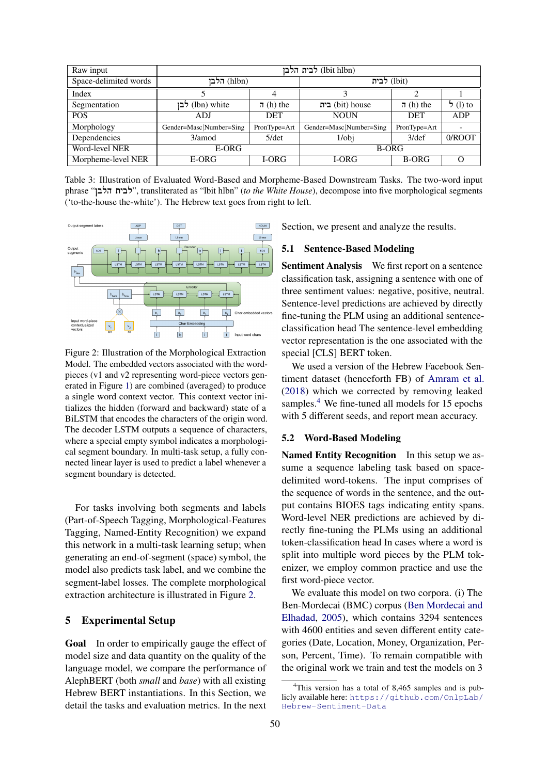| Raw input             | (lbit hlbn) לבית הלבן                   |          |                         |              |            |  |
|-----------------------|-----------------------------------------|----------|-------------------------|--------------|------------|--|
| Space-delimited words | (hlbn) הלבן                             |          | (lbit) לבית             |              |            |  |
| Index                 |                                         |          |                         |              |            |  |
| Segmentation          | לבן (lbn) white<br>ת (h) the            |          | בית (bit) house         | ת (h) the    | $5(1)$ to  |  |
| <b>POS</b>            | <b>DET</b><br>ADJ                       |          | <b>NOUN</b>             | <b>DET</b>   | <b>ADP</b> |  |
| Morphology            | Gender=Masc Number=Sing<br>PronType=Art |          | Gender=Masc Number=Sing | PronType=Art |            |  |
| Dependencies          | 3/amod                                  | $5$ /det | $1$ /obj                | $3$ /def     | 0/ROOT     |  |
| Word-level NER        | E-ORG                                   |          | <b>B-ORG</b>            |              |            |  |
| Morpheme-level NER    | E-ORG<br>I-ORG                          |          | I-ORG<br><b>B-ORG</b>   |              |            |  |

Table 3: Illustration of Evaluated Word-Based and Morpheme-Based Downstream Tasks. The two-word input phrase "!Nהלב לבית", transliterated as "lbit hlbn" (*to the White House*), decompose into five morphological segments ('to-the-house the-white'). The Hebrew text goes from right to left.

<span id="page-4-0"></span>

Figure 2: Illustration of the Morphological Extraction Model. The embedded vectors associated with the wordpieces (v1 and v2 representing word-piece vectors generated in Figure [1\)](#page-1-1) are combined (averaged) to produce a single word context vector. This context vector initializes the hidden (forward and backward) state of a BiLSTM that encodes the characters of the origin word. The decoder LSTM outputs a sequence of characters, where a special empty symbol indicates a morphological segment boundary. In multi-task setup, a fully connected linear layer is used to predict a label whenever a segment boundary is detected.

For tasks involving both segments and labels (Part-of-Speech Tagging, Morphological-Features Tagging, Named-Entity Recognition) we expand this network in a multi-task learning setup; when generating an end-of-segment (space) symbol, the model also predicts task label, and we combine the segment-label losses. The complete morphological extraction architecture is illustrated in Figure [2.](#page-4-0)

## 5 Experimental Setup

Goal In order to empirically gauge the effect of model size and data quantity on the quality of the language model, we compare the performance of AlephBERT (both *small* and *base*) with all existing Hebrew BERT instantiations. In this Section, we detail the tasks and evaluation metrics. In the next Section, we present and analyze the results.

## 5.1 Sentence-Based Modeling

Sentiment Analysis We first report on a sentence classification task, assigning a sentence with one of three sentiment values: negative, positive, neutral. Sentence-level predictions are achieved by directly fine-tuning the PLM using an additional sentenceclassification head The sentence-level embedding vector representation is the one associated with the special [CLS] BERT token.

We used a version of the Hebrew Facebook Sentiment dataset (henceforth FB) of [Amram et al.](#page-8-1) [\(2018\)](#page-8-1) which we corrected by removing leaked samples.<sup>[4](#page-4-1)</sup> We fine-tuned all models for 15 epochs with 5 different seeds, and report mean accuracy.

## 5.2 Word-Based Modeling

Named Entity Recognition In this setup we assume a sequence labeling task based on spacedelimited word-tokens. The input comprises of the sequence of words in the sentence, and the output contains BIOES tags indicating entity spans. Word-level NER predictions are achieved by directly fine-tuning the PLMs using an additional token-classification head In cases where a word is split into multiple word pieces by the PLM tokenizer, we employ common practice and use the first word-piece vector.

We evaluate this model on two corpora. (i) The Ben-Mordecai (BMC) corpus [\(Ben Mordecai and](#page-9-15) [Elhadad,](#page-9-15) [2005\)](#page-9-15), which contains 3294 sentences with 4600 entities and seven different entity categories (Date, Location, Money, Organization, Person, Percent, Time). To remain compatible with the original work we train and test the models on 3

<span id="page-4-1"></span><sup>&</sup>lt;sup>4</sup>This version has a total of 8,465 samples and is publicly available here: [https://github.com/OnlpLab/](https://github.com/OnlpLab/Hebrew-Sentiment-Data) [Hebrew-Sentiment-Data](https://github.com/OnlpLab/Hebrew-Sentiment-Data)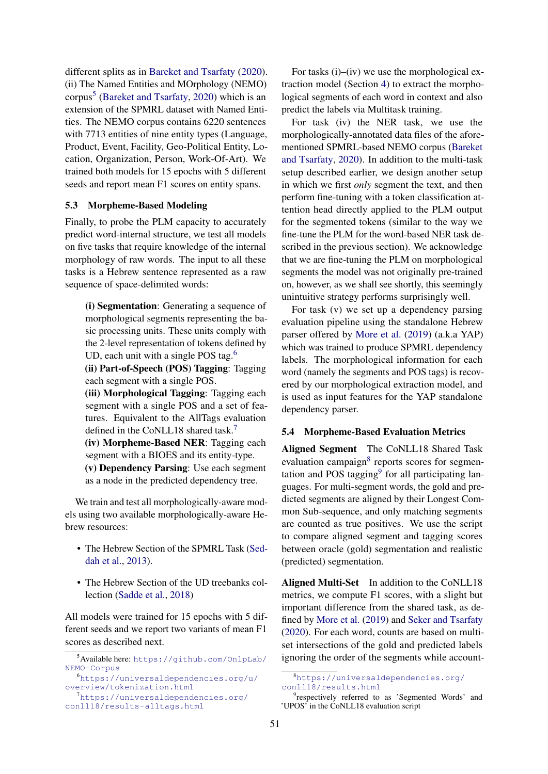different splits as in [Bareket and Tsarfaty](#page-9-6) [\(2020\)](#page-9-6). (ii) The Named Entities and MOrphology (NEMO) corpus<sup>[5](#page-5-0)</sup> [\(Bareket and Tsarfaty,](#page-9-6) [2020\)](#page-9-6) which is an extension of the SPMRL dataset with Named Entities. The NEMO corpus contains 6220 sentences with 7713 entities of nine entity types (Language, Product, Event, Facility, Geo-Political Entity, Location, Organization, Person, Work-Of-Art). We trained both models for 15 epochs with 5 different seeds and report mean F1 scores on entity spans.

## 5.3 Morpheme-Based Modeling

Finally, to probe the PLM capacity to accurately predict word-internal structure, we test all models on five tasks that require knowledge of the internal morphology of raw words. The input to all these tasks is a Hebrew sentence represented as a raw sequence of space-delimited words:

(i) Segmentation: Generating a sequence of morphological segments representing the basic processing units. These units comply with the 2-level representation of tokens defined by UD, each unit with a single POS tag. $6\%$  $6\%$ 

(ii) Part-of-Speech (POS) Tagging: Tagging each segment with a single POS.

(iii) Morphological Tagging: Tagging each segment with a single POS and a set of features. Equivalent to the AllTags evaluation defined in the CoNLL18 shared task.<sup>[7](#page-5-2)</sup>

(iv) Morpheme-Based NER: Tagging each segment with a BIOES and its entity-type.

(v) Dependency Parsing: Use each segment as a node in the predicted dependency tree.

We train and test all morphologically-aware models using two available morphologically-aware Hebrew resources:

- The Hebrew Section of the SPMRL Task [\(Sed](#page-10-11)[dah et al.,](#page-10-11) [2013\)](#page-10-11).
- The Hebrew Section of the UD treebanks collection [\(Sadde et al.,](#page-10-1) [2018\)](#page-10-1)

All models were trained for 15 epochs with 5 different seeds and we report two variants of mean F1 scores as described next.

<span id="page-5-1"></span><sup>6</sup>[https://universaldependencies.org/u/](https://universaldependencies.org/u/overview/tokenization.html) [overview/tokenization.html](https://universaldependencies.org/u/overview/tokenization.html)

For tasks (i)–(iv) we use the morphological extraction model (Section [4\)](#page-3-2) to extract the morphological segments of each word in context and also predict the labels via Multitask training.

For task (iv) the NER task, we use the morphologically-annotated data files of the aforementioned SPMRL-based NEMO corpus [\(Bareket](#page-9-6) [and Tsarfaty,](#page-9-6) [2020\)](#page-9-6). In addition to the multi-task setup described earlier, we design another setup in which we first *only* segment the text, and then perform fine-tuning with a token classification attention head directly applied to the PLM output for the segmented tokens (similar to the way we fine-tune the PLM for the word-based NER task described in the previous section). We acknowledge that we are fine-tuning the PLM on morphological segments the model was not originally pre-trained on, however, as we shall see shortly, this seemingly unintuitive strategy performs surprisingly well.

For task (v) we set up a dependency parsing evaluation pipeline using the standalone Hebrew parser offered by [More et al.](#page-9-16) [\(2019\)](#page-9-16) (a.k.a YAP) which was trained to produce SPMRL dependency labels. The morphological information for each word (namely the segments and POS tags) is recovered by our morphological extraction model, and is used as input features for the YAP standalone dependency parser.

#### 5.4 Morpheme-Based Evaluation Metrics

Aligned Segment The CoNLL18 Shared Task evaluation campaign<sup>[8](#page-5-3)</sup> reports scores for segmen-tation and POS tagging<sup>[9](#page-5-4)</sup> for all participating languages. For multi-segment words, the gold and predicted segments are aligned by their Longest Common Sub-sequence, and only matching segments are counted as true positives. We use the script to compare aligned segment and tagging scores between oracle (gold) segmentation and realistic (predicted) segmentation.

Aligned Multi-Set In addition to the CoNLL18 metrics, we compute F1 scores, with a slight but important difference from the shared task, as defined by [More et al.](#page-9-16) [\(2019\)](#page-9-16) and [Seker and Tsarfaty](#page-10-12) [\(2020\)](#page-10-12). For each word, counts are based on multiset intersections of the gold and predicted labels ignoring the order of the segments while account-

<span id="page-5-0"></span><sup>5</sup>Available here: [https://github.com/OnlpLab/](https://github.com/OnlpLab/NEMO-Corpus) [NEMO-Corpus](https://github.com/OnlpLab/NEMO-Corpus)

<span id="page-5-2"></span><sup>&</sup>lt;sup>7</sup>[https://universaldependencies.org/](https://universaldependencies.org/conll18/results-alltags.html) [conll18/results-alltags.html](https://universaldependencies.org/conll18/results-alltags.html)

<span id="page-5-3"></span><sup>8</sup>[https://universaldependencies.org/](https://universaldependencies.org/conll18/results.html) [conll18/results.html](https://universaldependencies.org/conll18/results.html)

<span id="page-5-4"></span><sup>&</sup>lt;sup>9</sup>respectively referred to as 'Segmented Words' and 'UPOS' in the CoNLL18 evaluation script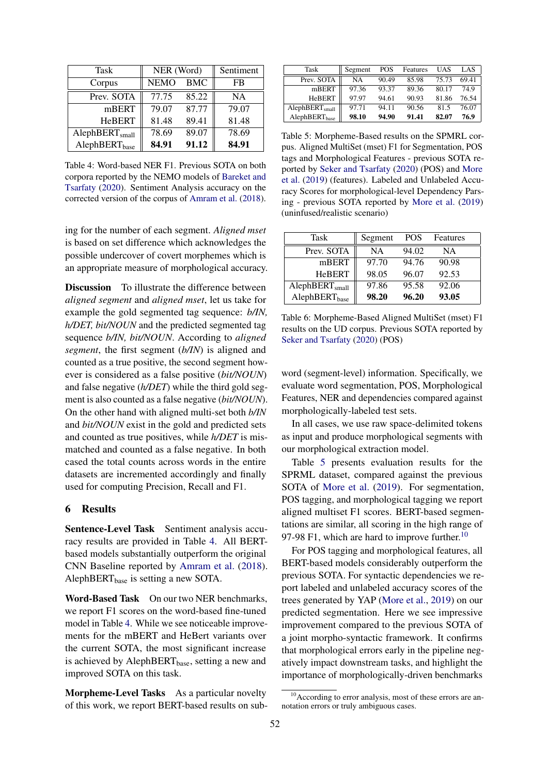<span id="page-6-0"></span>

| Task                       | NER (Word)  | Sentiment  |           |
|----------------------------|-------------|------------|-----------|
| Corpus                     | <b>NEMO</b> | <b>BMC</b> | FB        |
| Prev. SOTA                 | 77.75       | 85.22      | <b>NA</b> |
| mBERT                      | 79.07       | 87.77      | 79.07     |
| <b>HeBERT</b>              | 81.48       | 89.41      | 81.48     |
| AlephBERT <sub>small</sub> | 78.69       | 89.07      | 78.69     |
| AlephBERT <sub>base</sub>  | 84.91       | 91.12      | 84.91     |

Table 4: Word-based NER F1. Previous SOTA on both corpora reported by the NEMO models of [Bareket and](#page-9-6) [Tsarfaty](#page-9-6) [\(2020\)](#page-9-6). Sentiment Analysis accuracy on the corrected version of the corpus of [Amram et al.](#page-8-1) [\(2018\)](#page-8-1).

ing for the number of each segment. *Aligned mset* is based on set difference which acknowledges the possible undercover of covert morphemes which is an appropriate measure of morphological accuracy.

Discussion To illustrate the difference between *aligned segment* and *aligned mset*, let us take for example the gold segmented tag sequence: *b/IN, h/DET, bit/NOUN* and the predicted segmented tag sequence *b/IN, bit/NOUN*. According to *aligned segment*, the first segment (*b/IN*) is aligned and counted as a true positive, the second segment however is considered as a false positive (*bit/NOUN*) and false negative (*h/DET*) while the third gold segment is also counted as a false negative (*bit/NOUN*). On the other hand with aligned multi-set both *b/IN* and *bit/NOUN* exist in the gold and predicted sets and counted as true positives, while *h/DET* is mismatched and counted as a false negative. In both cased the total counts across words in the entire datasets are incremented accordingly and finally used for computing Precision, Recall and F1.

# 6 Results

Sentence-Level Task Sentiment analysis accuracy results are provided in Table [4.](#page-6-0) All BERTbased models substantially outperform the original CNN Baseline reported by [Amram et al.](#page-8-1) [\(2018\)](#page-8-1). AlephBERT<sub>base</sub> is setting a new SOTA.

Word-Based Task On our two NER benchmarks, we report F1 scores on the word-based fine-tuned model in Table [4.](#page-6-0) While we see noticeable improvements for the mBERT and HeBert variants over the current SOTA, the most significant increase is achieved by AlephBERT<sub>base</sub>, setting a new and improved SOTA on this task.

Morpheme-Level Tasks As a particular novelty of this work, we report BERT-based results on sub-

<span id="page-6-1"></span>

| Task                       | Segment | POS   | Features | UAS   | LAS   |
|----------------------------|---------|-------|----------|-------|-------|
| Prev. SOTA                 | NA      | 90.49 | 85.98    | 75.73 | 69.41 |
| mBERT                      | 97.36   | 93.37 | 89.36    | 80.17 | 74.9  |
| <b>HeBERT</b>              | 97.97   | 94.61 | 90.93    | 81.86 | 76.54 |
| AlephBERT <sub>small</sub> | 97.71   | 94.11 | 90.56    | 81.5  | 76.07 |
| AlephBERT <sub>base</sub>  | 98.10   | 94.90 | 91.41    | 82.07 | 76.9  |

Table 5: Morpheme-Based results on the SPMRL corpus. Aligned MultiSet (mset) F1 for Segmentation, POS tags and Morphological Features - previous SOTA reported by [Seker and Tsarfaty](#page-10-12) [\(2020\)](#page-10-12) (POS) and [More](#page-9-16) [et al.](#page-9-16) [\(2019\)](#page-9-16) (features). Labeled and Unlabeled Accuracy Scores for morphological-level Dependency Parsing - previous SOTA reported by [More et al.](#page-9-16) [\(2019\)](#page-9-16) (uninfused/realistic scenario)

<span id="page-6-3"></span>

| Task                       | Segment   | <b>POS</b> | Features |
|----------------------------|-----------|------------|----------|
| Prev. SOTA                 | <b>NA</b> | 94.02      | NA       |
| mBERT                      | 97.70     | 94.76      | 90.98    |
| <b>HeBERT</b>              | 98.05     | 96.07      | 92.53    |
| AlephBERT <sub>small</sub> | 97.86     | 95.58      | 92.06    |
| AlephBERT <sub>base</sub>  | 98.20     | 96.20      | 93.05    |

Table 6: Morpheme-Based Aligned MultiSet (mset) F1 results on the UD corpus. Previous SOTA reported by [Seker and Tsarfaty](#page-10-12) [\(2020\)](#page-10-12) (POS)

word (segment-level) information. Specifically, we evaluate word segmentation, POS, Morphological Features, NER and dependencies compared against morphologically-labeled test sets.

In all cases, we use raw space-delimited tokens as input and produce morphological segments with our morphological extraction model.

Table [5](#page-6-1) presents evaluation results for the SPRML dataset, compared against the previous SOTA of [More et al.](#page-9-16) [\(2019\)](#page-9-16). For segmentation, POS tagging, and morphological tagging we report aligned multiset F1 scores. BERT-based segmentations are similar, all scoring in the high range of 97-98 F1, which are hard to improve further.<sup>[10](#page-6-2)</sup>

For POS tagging and morphological features, all BERT-based models considerably outperform the previous SOTA. For syntactic dependencies we report labeled and unlabeled accuracy scores of the trees generated by YAP [\(More et al.,](#page-9-16) [2019\)](#page-9-16) on our predicted segmentation. Here we see impressive improvement compared to the previous SOTA of a joint morpho-syntactic framework. It confirms that morphological errors early in the pipeline negatively impact downstream tasks, and highlight the importance of morphologically-driven benchmarks

<span id="page-6-2"></span><sup>&</sup>lt;sup>10</sup> According to error analysis, most of these errors are annotation errors or truly ambiguous cases.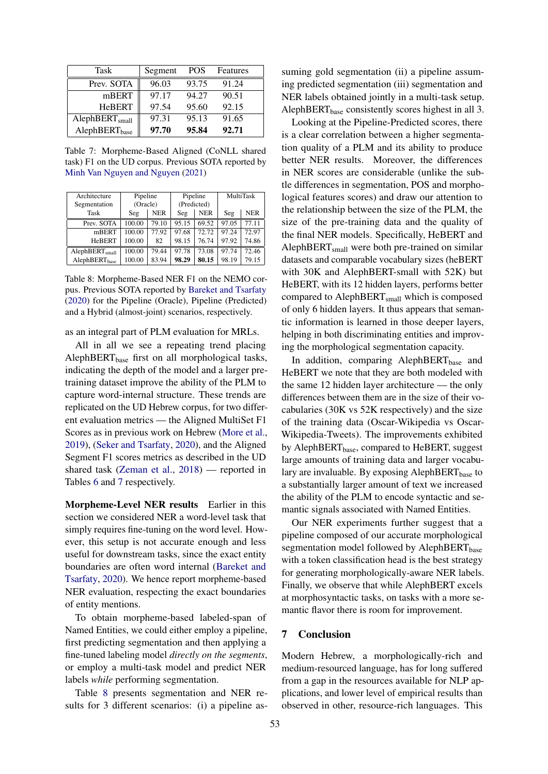<span id="page-7-0"></span>

| Task                       | Segment | <b>POS</b> | Features |
|----------------------------|---------|------------|----------|
| Prev. SOTA                 | 96.03   | 93.75      | 91.24    |
| mBERT                      | 97.17   | 94.27      | 90.51    |
| <b>HeBERT</b>              | 97.54   | 95.60      | 92.15    |
| AlephBERT <sub>small</sub> | 97.31   | 95.13      | 91.65    |
| AlephBERT <sub>base</sub>  | 97.70   | 95.84      | 92.71    |

Table 7: Morpheme-Based Aligned (CoNLL shared task) F1 on the UD corpus. Previous SOTA reported by [Minh Van Nguyen and Nguyen](#page-9-17) [\(2021\)](#page-9-17)

<span id="page-7-1"></span>

| Architecture               | Pipeline |            | Pipeline    |            | MultiTask |            |
|----------------------------|----------|------------|-------------|------------|-----------|------------|
| Segmentation               | (Oracle) |            | (Predicted) |            |           |            |
| Task                       | Seg      | <b>NER</b> | Seg         | <b>NER</b> | Seg       | <b>NER</b> |
| Prev. SOTA                 | 100.00   | 79.10      | 95.15       | 69.52      | 97.05     | 77.11      |
| mBERT                      | 100.00   | 77.92      | 97.68       | 72.72      | 97.24     | 72.97      |
| <b>HeBERT</b>              | 100.00   | 82         | 98.15       | 76.74      | 97.92     | 74.86      |
| AlephBERT <sub>small</sub> | 100.00   | 79.44      | 97.78       | 73.08      | 97.74     | 72.46      |
| AlephBERT <sub>hase</sub>  | 100.00   | 83.94      | 98.29       | 80.15      | 98.19     | 79.15      |

Table 8: Morpheme-Based NER F1 on the NEMO corpus. Previous SOTA reported by [Bareket and Tsarfaty](#page-9-6) [\(2020\)](#page-9-6) for the Pipeline (Oracle), Pipeline (Predicted) and a Hybrid (almost-joint) scenarios, respectively.

as an integral part of PLM evaluation for MRLs.

All in all we see a repeating trend placing AlephBERT $_{base}$  first on all morphological tasks, indicating the depth of the model and a larger pretraining dataset improve the ability of the PLM to capture word-internal structure. These trends are replicated on the UD Hebrew corpus, for two different evaluation metrics — the Aligned MultiSet F1 Scores as in previous work on Hebrew [\(More et al.,](#page-9-16) [2019\)](#page-9-16), [\(Seker and Tsarfaty,](#page-10-12) [2020\)](#page-10-12), and the Aligned Segment F1 scores metrics as described in the UD shared task [\(Zeman et al.,](#page-10-2) [2018\)](#page-10-2) — reported in Tables [6](#page-6-3) and [7](#page-7-0) respectively.

Morpheme-Level NER results Earlier in this section we considered NER a word-level task that simply requires fine-tuning on the word level. However, this setup is not accurate enough and less useful for downstream tasks, since the exact entity boundaries are often word internal [\(Bareket and](#page-9-6) [Tsarfaty,](#page-9-6) [2020\)](#page-9-6). We hence report morpheme-based NER evaluation, respecting the exact boundaries of entity mentions.

To obtain morpheme-based labeled-span of Named Entities, we could either employ a pipeline, first predicting segmentation and then applying a fine-tuned labeling model *directly on the segments*, or employ a multi-task model and predict NER labels *while* performing segmentation.

Table [8](#page-7-1) presents segmentation and NER results for 3 different scenarios: (i) a pipeline assuming gold segmentation (ii) a pipeline assuming predicted segmentation (iii) segmentation and NER labels obtained jointly in a multi-task setup. AlephBERT $_{base}$  consistently scores highest in all 3.

Looking at the Pipeline-Predicted scores, there is a clear correlation between a higher segmentation quality of a PLM and its ability to produce better NER results. Moreover, the differences in NER scores are considerable (unlike the subtle differences in segmentation, POS and morphological features scores) and draw our attention to the relationship between the size of the PLM, the size of the pre-training data and the quality of the final NER models. Specifically, HeBERT and AlephBERT<sub>small</sub> were both pre-trained on similar datasets and comparable vocabulary sizes (heBERT with 30K and AlephBERT-small with 52K) but HeBERT, with its 12 hidden layers, performs better compared to AlephBERT<sub>small</sub> which is composed of only 6 hidden layers. It thus appears that semantic information is learned in those deeper layers, helping in both discriminating entities and improving the morphological segmentation capacity.

In addition, comparing AlephBERT $_{base}$  and HeBERT we note that they are both modeled with the same 12 hidden layer architecture — the only differences between them are in the size of their vocabularies (30K vs 52K respectively) and the size of the training data (Oscar-Wikipedia vs Oscar-Wikipedia-Tweets). The improvements exhibited by AlephBERT $_{base}$ , compared to HeBERT, suggest large amounts of training data and larger vocabulary are invaluable. By exposing AlephBERT $_{base}$  to a substantially larger amount of text we increased the ability of the PLM to encode syntactic and semantic signals associated with Named Entities.

Our NER experiments further suggest that a pipeline composed of our accurate morphological segmentation model followed by AlephBERT<sub>base</sub> with a token classification head is the best strategy for generating morphologically-aware NER labels. Finally, we observe that while AlephBERT excels at morphosyntactic tasks, on tasks with a more semantic flavor there is room for improvement.

## 7 Conclusion

Modern Hebrew, a morphologically-rich and medium-resourced language, has for long suffered from a gap in the resources available for NLP applications, and lower level of empirical results than observed in other, resource-rich languages. This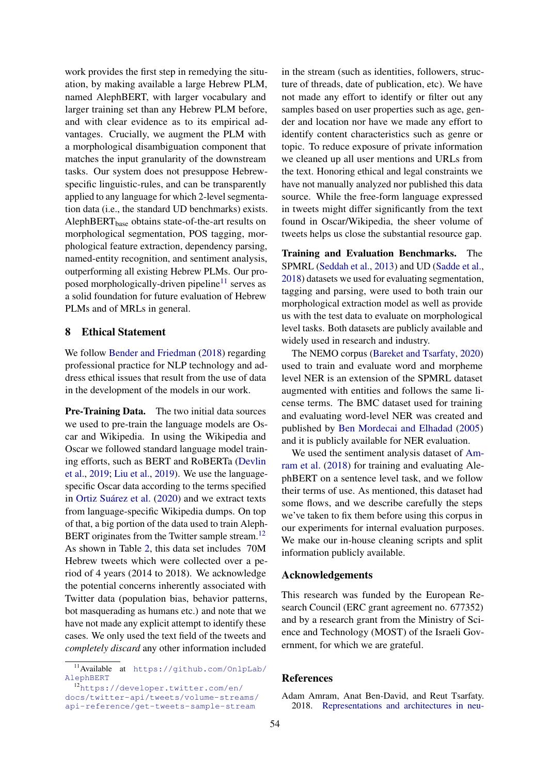work provides the first step in remedying the situation, by making available a large Hebrew PLM, named AlephBERT, with larger vocabulary and larger training set than any Hebrew PLM before, and with clear evidence as to its empirical advantages. Crucially, we augment the PLM with a morphological disambiguation component that matches the input granularity of the downstream tasks. Our system does not presuppose Hebrewspecific linguistic-rules, and can be transparently applied to any language for which 2-level segmentation data (i.e., the standard UD benchmarks) exists. AlephBERT $_{base}$  obtains state-of-the-art results on morphological segmentation, POS tagging, morphological feature extraction, dependency parsing, named-entity recognition, and sentiment analysis, outperforming all existing Hebrew PLMs. Our pro-posed morphologically-driven pipeline<sup>[11](#page-8-2)</sup> serves as a solid foundation for future evaluation of Hebrew PLMs and of MRLs in general.

#### <span id="page-8-0"></span>8 Ethical Statement

We follow [Bender and Friedman](#page-9-18) [\(2018\)](#page-9-18) regarding professional practice for NLP technology and address ethical issues that result from the use of data in the development of the models in our work.

Pre-Training Data. The two initial data sources we used to pre-train the language models are Oscar and Wikipedia. In using the Wikipedia and Oscar we followed standard language model training efforts, such as BERT and RoBERTa [\(Devlin](#page-9-0) [et al.,](#page-9-0) [2019;](#page-9-0) [Liu et al.,](#page-9-1) [2019\)](#page-9-1). We use the languagespecific Oscar data according to the terms specified in [Ortiz Suárez et al.](#page-9-13) [\(2020\)](#page-9-13) and we extract texts from language-specific Wikipedia dumps. On top of that, a big portion of the data used to train Aleph-BERT originates from the Twitter sample stream.<sup>[12](#page-8-3)</sup> As shown in Table [2,](#page-3-0) this data set includes 70M Hebrew tweets which were collected over a period of 4 years (2014 to 2018). We acknowledge the potential concerns inherently associated with Twitter data (population bias, behavior patterns, bot masquerading as humans etc.) and note that we have not made any explicit attempt to identify these cases. We only used the text field of the tweets and *completely discard* any other information included

in the stream (such as identities, followers, structure of threads, date of publication, etc). We have not made any effort to identify or filter out any samples based on user properties such as age, gender and location nor have we made any effort to identify content characteristics such as genre or topic. To reduce exposure of private information we cleaned up all user mentions and URLs from the text. Honoring ethical and legal constraints we have not manually analyzed nor published this data source. While the free-form language expressed in tweets might differ significantly from the text found in Oscar/Wikipedia, the sheer volume of tweets helps us close the substantial resource gap.

Training and Evaluation Benchmarks. The SPMRL [\(Seddah et al.,](#page-10-11) [2013\)](#page-10-11) and UD [\(Sadde et al.,](#page-10-1) [2018\)](#page-10-1) datasets we used for evaluating segmentation, tagging and parsing, were used to both train our morphological extraction model as well as provide us with the test data to evaluate on morphological level tasks. Both datasets are publicly available and widely used in research and industry.

The NEMO corpus [\(Bareket and Tsarfaty,](#page-9-6) [2020\)](#page-9-6) used to train and evaluate word and morpheme level NER is an extension of the SPMRL dataset augmented with entities and follows the same license terms. The BMC dataset used for training and evaluating word-level NER was created and published by [Ben Mordecai and Elhadad](#page-9-15) [\(2005\)](#page-9-15) and it is publicly available for NER evaluation.

We used the sentiment analysis dataset of [Am](#page-8-1)[ram et al.](#page-8-1) [\(2018\)](#page-8-1) for training and evaluating AlephBERT on a sentence level task, and we follow their terms of use. As mentioned, this dataset had some flows, and we describe carefully the steps we've taken to fix them before using this corpus in our experiments for internal evaluation purposes. We make our in-house cleaning scripts and split information publicly available.

#### Acknowledgements

This research was funded by the European Research Council (ERC grant agreement no. 677352) and by a research grant from the Ministry of Science and Technology (MOST) of the Israeli Government, for which we are grateful.

### References

<span id="page-8-2"></span><sup>11</sup>Available at [https://github.com/OnlpLab/](https://github.com/OnlpLab/AlephBERT) [AlephBERT](https://github.com/OnlpLab/AlephBERT)

<span id="page-8-3"></span><sup>12</sup>[https://developer.twitter.com/en/](https://developer.twitter.com/en/docs/twitter-api/tweets/volume-streams/api-reference/get-tweets-sample-stream) [docs/twitter-api/tweets/volume-streams/](https://developer.twitter.com/en/docs/twitter-api/tweets/volume-streams/api-reference/get-tweets-sample-stream) [api-reference/get-tweets-sample-stream](https://developer.twitter.com/en/docs/twitter-api/tweets/volume-streams/api-reference/get-tweets-sample-stream)

<span id="page-8-1"></span>Adam Amram, Anat Ben-David, and Reut Tsarfaty. 2018. [Representations and architectures in neu-](https://www.aclweb.org/anthology/C18-1190/)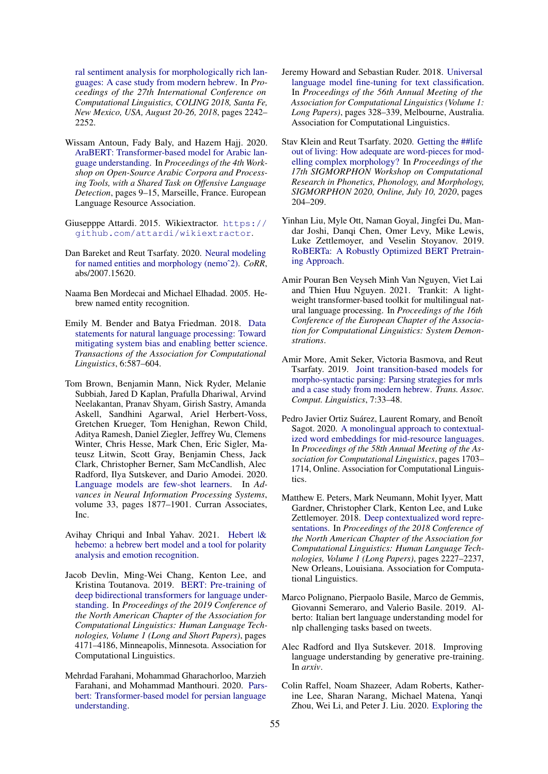[ral sentiment analysis for morphologically rich lan](https://www.aclweb.org/anthology/C18-1190/)[guages: A case study from modern hebrew.](https://www.aclweb.org/anthology/C18-1190/) In *Proceedings of the 27th International Conference on Computational Linguistics, COLING 2018, Santa Fe, New Mexico, USA, August 20-26, 2018*, pages 2242– 2252.

- <span id="page-9-12"></span>Wissam Antoun, Fady Baly, and Hazem Hajj. 2020. [AraBERT: Transformer-based model for Arabic lan](https://aclanthology.org/2020.osact-1.2)[guage understanding.](https://aclanthology.org/2020.osact-1.2) In *Proceedings of the 4th Workshop on Open-Source Arabic Corpora and Processing Tools, with a Shared Task on Offensive Language Detection*, pages 9–15, Marseille, France. European Language Resource Association.
- <span id="page-9-14"></span>Giusepppe Attardi. 2015. Wikiextractor. [https://](https://github.com/attardi/wikiextractor) [github.com/attardi/wikiextractor](https://github.com/attardi/wikiextractor).
- <span id="page-9-6"></span>Dan Bareket and Reut Tsarfaty. 2020. [Neural modeling](http://arxiv.org/abs/2007.15620) [for named entities and morphology \(nemoˆ2\).](http://arxiv.org/abs/2007.15620) *CoRR*, abs/2007.15620.
- <span id="page-9-15"></span>Naama Ben Mordecai and Michael Elhadad. 2005. Hebrew named entity recognition.
- <span id="page-9-18"></span>Emily M. Bender and Batya Friedman. 2018. [Data](https://doi.org/10.1162/tacl_a_00041) [statements for natural language processing: Toward](https://doi.org/10.1162/tacl_a_00041) [mitigating system bias and enabling better science.](https://doi.org/10.1162/tacl_a_00041) *Transactions of the Association for Computational Linguistics*, 6:587–604.
- <span id="page-9-2"></span>Tom Brown, Benjamin Mann, Nick Ryder, Melanie Subbiah, Jared D Kaplan, Prafulla Dhariwal, Arvind Neelakantan, Pranav Shyam, Girish Sastry, Amanda Askell, Sandhini Agarwal, Ariel Herbert-Voss, Gretchen Krueger, Tom Henighan, Rewon Child, Aditya Ramesh, Daniel Ziegler, Jeffrey Wu, Clemens Winter, Chris Hesse, Mark Chen, Eric Sigler, Mateusz Litwin, Scott Gray, Benjamin Chess, Jack Clark, Christopher Berner, Sam McCandlish, Alec Radford, Ilya Sutskever, and Dario Amodei. 2020. [Language models are few-shot learners.](https://proceedings.neurips.cc/paper/2020/file/1457c0d6bfcb4967418bfb8ac142f64a-Paper.pdf) In *Advances in Neural Information Processing Systems*, volume 33, pages 1877–1901. Curran Associates, Inc.
- <span id="page-9-5"></span>Avihay Chriqui and Inbal Yahav. 2021. [Hebert |&](http://arxiv.org/abs/2102.01909) [hebemo: a hebrew bert model and a tool for polarity](http://arxiv.org/abs/2102.01909) [analysis and emotion recognition.](http://arxiv.org/abs/2102.01909)
- <span id="page-9-0"></span>Jacob Devlin, Ming-Wei Chang, Kenton Lee, and Kristina Toutanova. 2019. [BERT: Pre-training of](https://doi.org/10.18653/v1/N19-1423) [deep bidirectional transformers for language under](https://doi.org/10.18653/v1/N19-1423)[standing.](https://doi.org/10.18653/v1/N19-1423) In *Proceedings of the 2019 Conference of the North American Chapter of the Association for Computational Linguistics: Human Language Technologies, Volume 1 (Long and Short Papers)*, pages 4171–4186, Minneapolis, Minnesota. Association for Computational Linguistics.
- <span id="page-9-11"></span>Mehrdad Farahani, Mohammad Gharachorloo, Marzieh Farahani, and Mohammad Manthouri. 2020. [Pars](http://arxiv.org/abs/2005.12515)[bert: Transformer-based model for persian language](http://arxiv.org/abs/2005.12515) [understanding.](http://arxiv.org/abs/2005.12515)
- <span id="page-9-8"></span>Jeremy Howard and Sebastian Ruder. 2018. [Universal](https://doi.org/10.18653/v1/P18-1031) [language model fine-tuning for text classification.](https://doi.org/10.18653/v1/P18-1031) In *Proceedings of the 56th Annual Meeting of the Association for Computational Linguistics (Volume 1: Long Papers)*, pages 328–339, Melbourne, Australia. Association for Computational Linguistics.
- <span id="page-9-4"></span>Stav Klein and Reut Tsarfaty. 2020. [Getting the ##life](https://doi.org/10.18653/v1/2020.sigmorphon-1.24) [out of living: How adequate are word-pieces for mod](https://doi.org/10.18653/v1/2020.sigmorphon-1.24)[elling complex morphology?](https://doi.org/10.18653/v1/2020.sigmorphon-1.24) In *Proceedings of the 17th SIGMORPHON Workshop on Computational Research in Phonetics, Phonology, and Morphology, SIGMORPHON 2020, Online, July 10, 2020*, pages 204–209.
- <span id="page-9-1"></span>Yinhan Liu, Myle Ott, Naman Goyal, Jingfei Du, Mandar Joshi, Danqi Chen, Omer Levy, Mike Lewis, Luke Zettlemoyer, and Veselin Stoyanov. 2019. [RoBERTa: A Robustly Optimized BERT Pretrain](http://arxiv.org/abs/1907.11692)[ing Approach.](http://arxiv.org/abs/1907.11692)
- <span id="page-9-17"></span>Amir Pouran Ben Veyseh Minh Van Nguyen, Viet Lai and Thien Huu Nguyen. 2021. Trankit: A lightweight transformer-based toolkit for multilingual natural language processing. In *Proceedings of the 16th Conference of the European Chapter of the Association for Computational Linguistics: System Demonstrations*.
- <span id="page-9-16"></span>Amir More, Amit Seker, Victoria Basmova, and Reut Tsarfaty. 2019. [Joint transition-based models for](https://transacl.org/ojs/index.php/tacl/article/view/1471) [morpho-syntactic parsing: Parsing strategies for mrls](https://transacl.org/ojs/index.php/tacl/article/view/1471) [and a case study from modern hebrew.](https://transacl.org/ojs/index.php/tacl/article/view/1471) *Trans. Assoc. Comput. Linguistics*, 7:33–48.
- <span id="page-9-13"></span>Pedro Javier Ortiz Suárez, Laurent Romary, and Benoît Sagot. 2020. [A monolingual approach to contextual](https://www.aclweb.org/anthology/2020.acl-main.156)[ized word embeddings for mid-resource languages.](https://www.aclweb.org/anthology/2020.acl-main.156) In *Proceedings of the 58th Annual Meeting of the Association for Computational Linguistics*, pages 1703– 1714, Online. Association for Computational Linguistics.
- <span id="page-9-7"></span>Matthew E. Peters, Mark Neumann, Mohit Iyyer, Matt Gardner, Christopher Clark, Kenton Lee, and Luke Zettlemoyer. 2018. [Deep contextualized word repre](https://doi.org/10.18653/v1/N18-1202)[sentations.](https://doi.org/10.18653/v1/N18-1202) In *Proceedings of the 2018 Conference of the North American Chapter of the Association for Computational Linguistics: Human Language Technologies, Volume 1 (Long Papers)*, pages 2227–2237, New Orleans, Louisiana. Association for Computational Linguistics.
- <span id="page-9-10"></span>Marco Polignano, Pierpaolo Basile, Marco de Gemmis, Giovanni Semeraro, and Valerio Basile. 2019. Alberto: Italian bert language understanding model for nlp challenging tasks based on tweets.
- <span id="page-9-9"></span>Alec Radford and Ilya Sutskever. 2018. Improving language understanding by generative pre-training. In *arxiv*.
- <span id="page-9-3"></span>Colin Raffel, Noam Shazeer, Adam Roberts, Katherine Lee, Sharan Narang, Michael Matena, Yanqi Zhou, Wei Li, and Peter J. Liu. 2020. [Exploring the](http://jmlr.org/papers/v21/20-074.html)